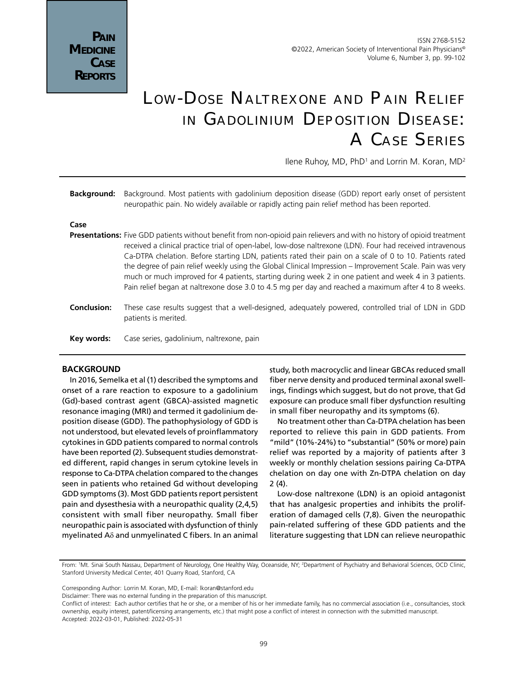# Low-Dose Naltrexone and Pain Relief in Gadolinium Deposition Disease: A Case Series

llene Ruhoy, MD, PhD<sup>1</sup> and Lorrin M. Koran, MD<sup>2</sup>

**Background:** Background. Most patients with gadolinium deposition disease (GDD) report early onset of persistent neuropathic pain. No widely available or rapidly acting pain relief method has been reported.

#### **Case**

- **Presentations:** Five GDD patients without benefit from non-opioid pain relievers and with no history of opioid treatment received a clinical practice trial of open-label, low-dose naltrexone (LDN). Four had received intravenous Ca-DTPA chelation. Before starting LDN, patients rated their pain on a scale of 0 to 10. Patients rated the degree of pain relief weekly using the Global Clinical Impression – Improvement Scale. Pain was very much or much improved for 4 patients, starting during week 2 in one patient and week 4 in 3 patients. Pain relief began at naltrexone dose 3.0 to 4.5 mg per day and reached a maximum after 4 to 8 weeks.
- **Conclusion:** These case results suggest that a well-designed, adequately powered, controlled trial of LDN in GDD patients is merited.
- **Key words:** Case series, gadolinium, naltrexone, pain

## **BACKGROUND**

In 2016, Semelka et al (1) described the symptoms and onset of a rare reaction to exposure to a gadolinium (Gd)-based contrast agent (GBCA)-assisted magnetic resonance imaging (MRI) and termed it gadolinium deposition disease (GDD). The pathophysiology of GDD is not understood, but elevated levels of proinflammatory cytokines in GDD patients compared to normal controls have been reported (2). Subsequent studies demonstrated different, rapid changes in serum cytokine levels in response to Ca-DTPA chelation compared to the changes seen in patients who retained Gd without developing GDD symptoms (3). Most GDD patients report persistent pain and dysesthesia with a neuropathic quality (2,4,5) consistent with small fiber neuropathy. Small fiber neuropathic pain is associated with dysfunction of thinly myelinated Aδ and unmyelinated C fibers. In an animal

study, both macrocyclic and linear GBCAs reduced small fiber nerve density and produced terminal axonal swellings, findings which suggest, but do not prove, that Gd exposure can produce small fiber dysfunction resulting in small fiber neuropathy and its symptoms (6).

No treatment other than Ca-DTPA chelation has been reported to relieve this pain in GDD patients. From "mild" (10%-24%) to "substantial" (50% or more) pain relief was reported by a majority of patients after 3 weekly or monthly chelation sessions pairing Ca-DTPA chelation on day one with Zn-DTPA chelation on day 2 (4).

Low-dose naltrexone (LDN) is an opioid antagonist that has analgesic properties and inhibits the proliferation of damaged cells (7,8). Given the neuropathic pain-related suffering of these GDD patients and the literature suggesting that LDN can relieve neuropathic

Corresponding Author: Lorrin M. Koran, MD, E-mail: lkoran@stanford.edu

From: 1 Mt. Sinai South Nassau, Department of Neurology, One Healthy Way, Oceanside, NY; 2 Department of Psychiatry and Behavioral Sciences, OCD Clinic, Stanford University Medical Center, 401 Quarry Road, Stanford, CA

Disclaimer: There was no external funding in the preparation of this manuscript.

Conflict of interest: Each author certifies that he or she, or a member of his or her immediate family, has no commercial association (i.e., consultancies, stock ownership, equity interest, patent/licensing arrangements, etc.) that might pose a conflict of interest in connection with the submitted manuscript. Accepted: 2022-03-01, Published: 2022-05-31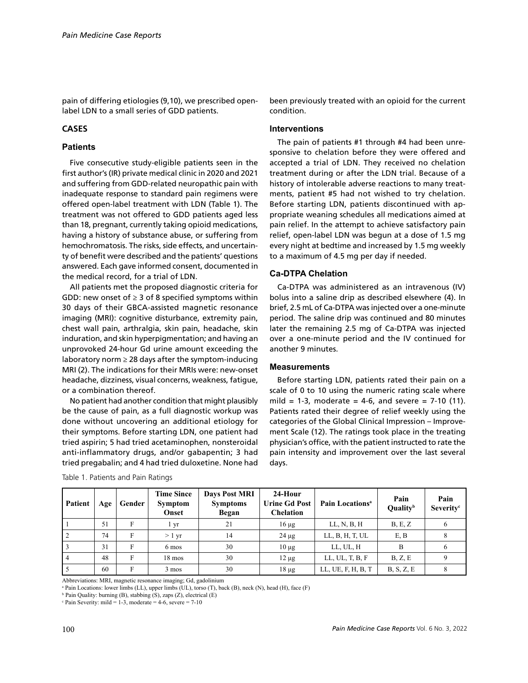pain of differing etiologies (9,10), we prescribed openlabel LDN to a small series of GDD patients.

# **CASES**

# **Patients**

Five consecutive study-eligible patients seen in the first author's (IR) private medical clinic in 2020 and 2021 and suffering from GDD-related neuropathic pain with inadequate response to standard pain regimens were offered open-label treatment with LDN (Table 1). The treatment was not offered to GDD patients aged less than 18, pregnant, currently taking opioid medications, having a history of substance abuse, or suffering from hemochromatosis. The risks, side effects, and uncertainty of benefit were described and the patients' questions answered. Each gave informed consent, documented in the medical record, for a trial of LDN.

All patients met the proposed diagnostic criteria for GDD: new onset of  $\geq 3$  of 8 specified symptoms within 30 days of their GBCA-assisted magnetic resonance imaging (MRI): cognitive disturbance, extremity pain, chest wall pain, arthralgia, skin pain, headache, skin induration, and skin hyperpigmentation; and having an unprovoked 24-hour Gd urine amount exceeding the laboratory norm  $\geq 28$  days after the symptom-inducing MRI (2). The indications for their MRIs were: new-onset headache, dizziness, visual concerns, weakness, fatigue, or a combination thereof.

No patient had another condition that might plausibly be the cause of pain, as a full diagnostic workup was done without uncovering an additional etiology for their symptoms. Before starting LDN, one patient had tried aspirin; 5 had tried acetaminophen, nonsteroidal anti-inflammatory drugs, and/or gabapentin; 3 had tried pregabalin; and 4 had tried duloxetine. None had

**Patient | Age | Gender Time Since Symptom Onset Days Post MRI Symptoms Began 24-Hour Urine Gd Post Chelation Pain Locationsa Pain Qualityb Pain Severityc** 1 | 51 | F | 1 yr | 21 | 16 μg | LL, N, B, H | B, E, Z | 6 2 | 74 | F | > 1 yr | 14 | 24 µg | LL, B, H, T, UL | E, B | 8  $3$  |  $31$  | F | 6 mos |  $30$  |  $10 \mu g$  | LL, UL, H | B | 6 4 | 48 | F | 18 mos | 30 | 12 μg | LL, UL, T, B, F | B, Z, E | 9 5  $\begin{array}{|c|c|c|c|c|c|c|c|} \hline \end{array}$  5  $\begin{array}{|c|c|c|c|c|c|c|c|} \hline \end{array}$  50  $\begin{array}{|c|c|c|c|c|c|} \hline \end{array}$  18  $\mu$ g  $\begin{array}{|c|c|c|c|c|c|c|} \hline \end{array}$  LL, UE, F, H, B, T  $\begin{array}{|c|c|c|c|c|c|} \hline \end{array}$  B, S, Z, E  $\begin{array}{|c|c|c|c|$ 

|  | Table 1. Patients and Pain Ratings |  |  |
|--|------------------------------------|--|--|
|  |                                    |  |  |

Abbreviations: MRI, magnetic resonance imaging; Gd, gadolinium

a Pain Locations: lower limbs (LL), upper limbs (UL), torso (T), back (B), neck (N), head (H), face (F)

b Pain Quality: burning (B), stabbing (S), zaps (Z), electrical (E)

been previously treated with an opioid for the current condition.

#### **Interventions**

The pain of patients #1 through #4 had been unresponsive to chelation before they were offered and accepted a trial of LDN. They received no chelation treatment during or after the LDN trial. Because of a history of intolerable adverse reactions to many treatments, patient #5 had not wished to try chelation. Before starting LDN, patients discontinued with appropriate weaning schedules all medications aimed at pain relief. In the attempt to achieve satisfactory pain relief, open-label LDN was begun at a dose of 1.5 mg every night at bedtime and increased by 1.5 mg weekly to a maximum of 4.5 mg per day if needed.

## **Ca-DTPA Chelation**

Ca-DTPA was administered as an intravenous (IV) bolus into a saline drip as described elsewhere (4). In brief, 2.5 mL of Ca-DTPA was injected over a one-minute period. The saline drip was continued and 80 minutes later the remaining 2.5 mg of Ca-DTPA was injected over a one-minute period and the IV continued for another 9 minutes.

## **Measurements**

Before starting LDN, patients rated their pain on a scale of 0 to 10 using the numeric rating scale where mild = 1-3, moderate = 4-6, and severe =  $7-10$  (11). Patients rated their degree of relief weekly using the categories of the Global Clinical Impression – Improvement Scale (12). The ratings took place in the treating physician's office, with the patient instructed to rate the pain intensity and improvement over the last several days.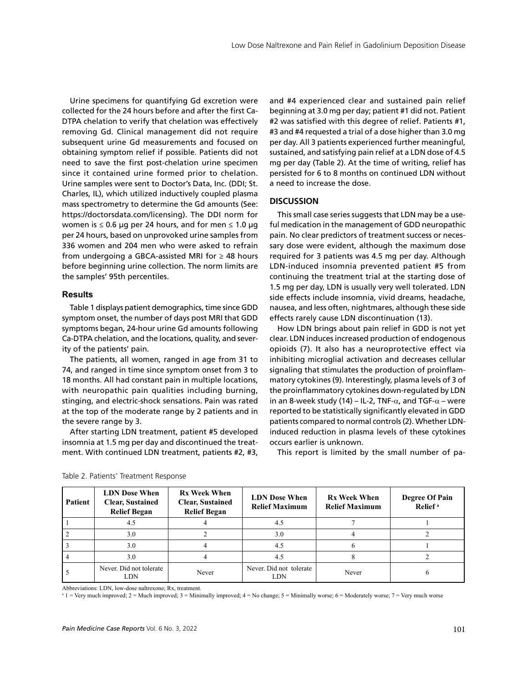Urine specimens for quantifying Gd excretion were collected for the 24 hours before and after the first Ca-DTPA chelation to verify that chelation was effectively removing Gd. Clinical management did not require subsequent urine Gd measurements and focused on obtaining symptom relief if possible. Patients did not need to save the first post-chelation urine specimen since it contained urine formed prior to chelation. Urine samples were sent to Doctor's Data, Inc. (DDI; St. Charles, IL), which utilized inductively coupled plasma mass spectrometry to determine the Gd amounts (See: https://doctorsdata.com/licensing). The DDI norm for women is  $\leq 0.6$  μg per 24 hours, and for men  $\leq 1.0$  μg per 24 hours, based on unprovoked urine samples from 336 women and 204 men who were asked to refrain from undergoing a GBCA-assisted MRI for  $\geq$  48 hours before beginning urine collection. The norm limits are the samples' 95th percentiles.

#### **Results**

Table 1 displays patient demographics, time since GDD symptom onset, the number of days post MRI that GDD symptoms began, 24-hour urine Gd amounts following Ca-DTPA chelation, and the locations, quality, and severity of the patients' pain.

The patients, all women, ranged in age from 31 to 74, and ranged in time since symptom onset from 3 to 18 months. All had constant pain in multiple locations, with neuropathic pain qualities including burning, stinging, and electric-shock sensations. Pain was rated at the top of the moderate range by 2 patients and in the severe range by 3.

After starting LDN treatment, patient #5 developed insomnia at 1.5 mg per day and discontinued the treatment. With continued LDN treatment, patients #2, #3, and #4 experienced clear and sustained pain relief beginning at 3.0 mg per day; patient #1 did not. Patient #2 was satisfied with this degree of relief. Patients #1, #3 and #4 requested a trial of a dose higher than 3.0 mg per day. All 3 patients experienced further meaningful, sustained, and satisfying pain relief at a LDN dose of 4.5 mg per day (Table 2). At the time of writing, relief has persisted for 6 to 8 months on continued LDN without a need to increase the dose.

#### **DISCUSSION**

This small case series suggests that LDN may be a useful medication in the management of GDD neuropathic pain. No clear predictors of treatment success or necessary dose were evident, although the maximum dose required for 3 patients was 4.5 mg per day. Although LDN-induced insomnia prevented patient #5 from continuing the treatment trial at the starting dose of 1.5 mg per day, LDN is usually very well tolerated. LDN side effects include insomnia, vivid dreams, headache, nausea, and less often, nightmares, although these side effects rarely cause LDN discontinuation (13).

How LDN brings about pain relief in GDD is not yet clear. LDN induces increased production of endogenous opioids (7). It also has a neuroprotective effect via inhibiting microglial activation and decreases cellular signaling that stimulates the production of proinflammatory cytokines (9). Interestingly, plasma levels of 3 of the proinflammatory cytokines down-regulated by LDN in an 8-week study (14) – IL-2, TNF- $\alpha$ , and TGF- $\alpha$  – were reported to be statistically significantly elevated in GDD patients compared to normal controls (2). Whether LDNinduced reduction in plasma levels of these cytokines occurs earlier is unknown.

This report is limited by the small number of pa-

| Patient        | <b>LDN</b> Dose When<br><b>Clear, Sustained</b><br><b>Relief Began</b> | <b>Rx Week When</b><br><b>Clear, Sustained</b><br><b>Relief Began</b> | <b>LDN</b> Dose When<br><b>Relief Maximum</b> | <b>Rx Week When</b><br><b>Relief Maximum</b> | <b>Degree Of Pain</b><br>Relief <sup>a</sup> |
|----------------|------------------------------------------------------------------------|-----------------------------------------------------------------------|-----------------------------------------------|----------------------------------------------|----------------------------------------------|
|                | 4.5                                                                    |                                                                       | 4.5                                           |                                              |                                              |
| $\overline{2}$ | 3.0                                                                    |                                                                       | 3.0                                           |                                              |                                              |
|                | 3.0                                                                    |                                                                       | 4.5                                           |                                              |                                              |
| 4              | 3.0                                                                    |                                                                       | 4.5                                           |                                              |                                              |
|                | Never. Did not tolerate<br>LDN                                         | Never                                                                 | Never. Did not tolerate<br>LDN                | Never                                        |                                              |

| Table 2. Patients' Treatment Response |  |  |
|---------------------------------------|--|--|
|---------------------------------------|--|--|

Abbreviations: LDN, low-dose naltrexone; Rx, treatment.

a 1 = Very much improved; 2 = Much improved; 3 = Minimally improved; 4 = No change; 5 = Minimally worse; 6 = Moderately worse; 7 = Very much worse